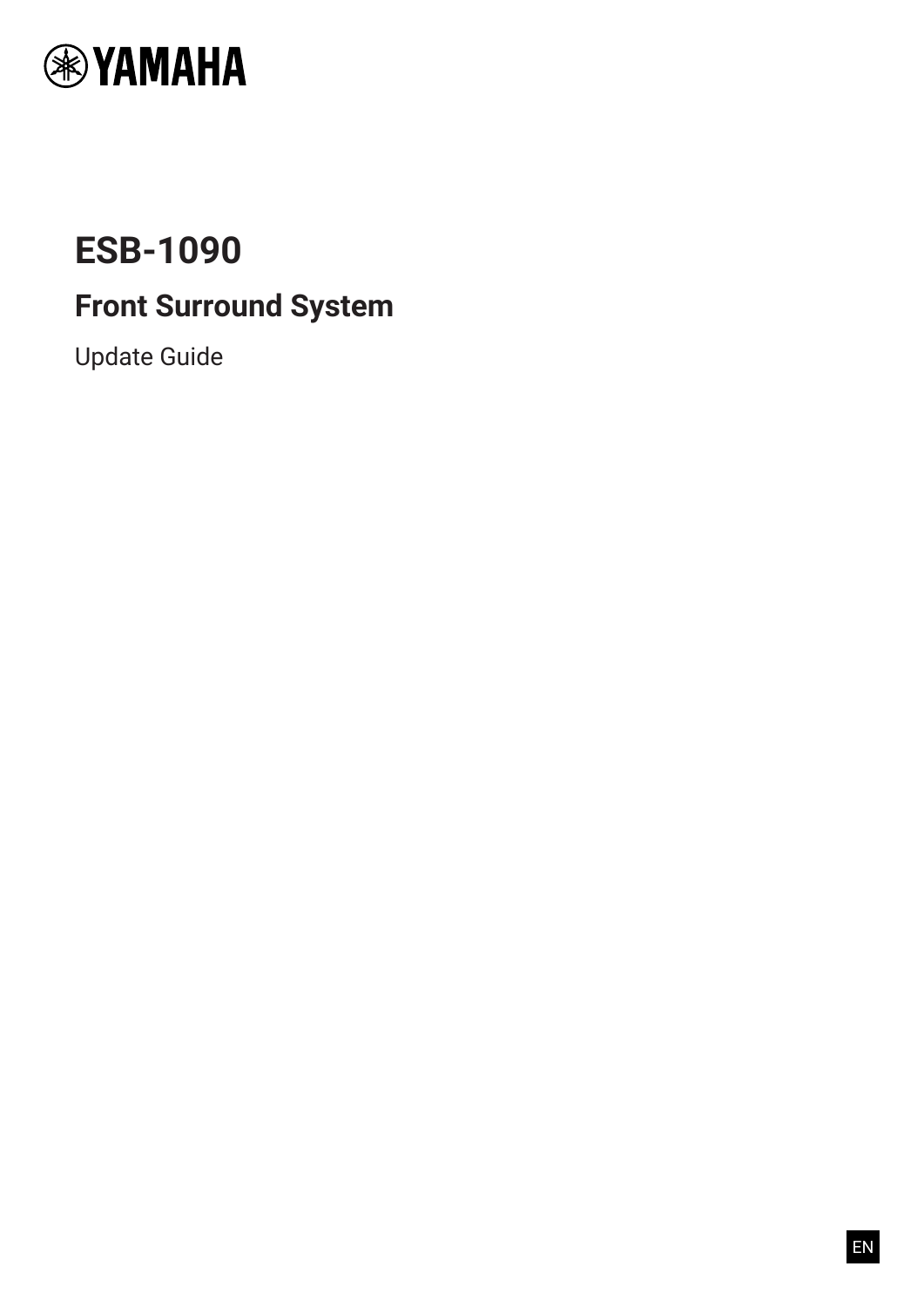

# **ESB-1090**

# **Front Surround System**

Update Guide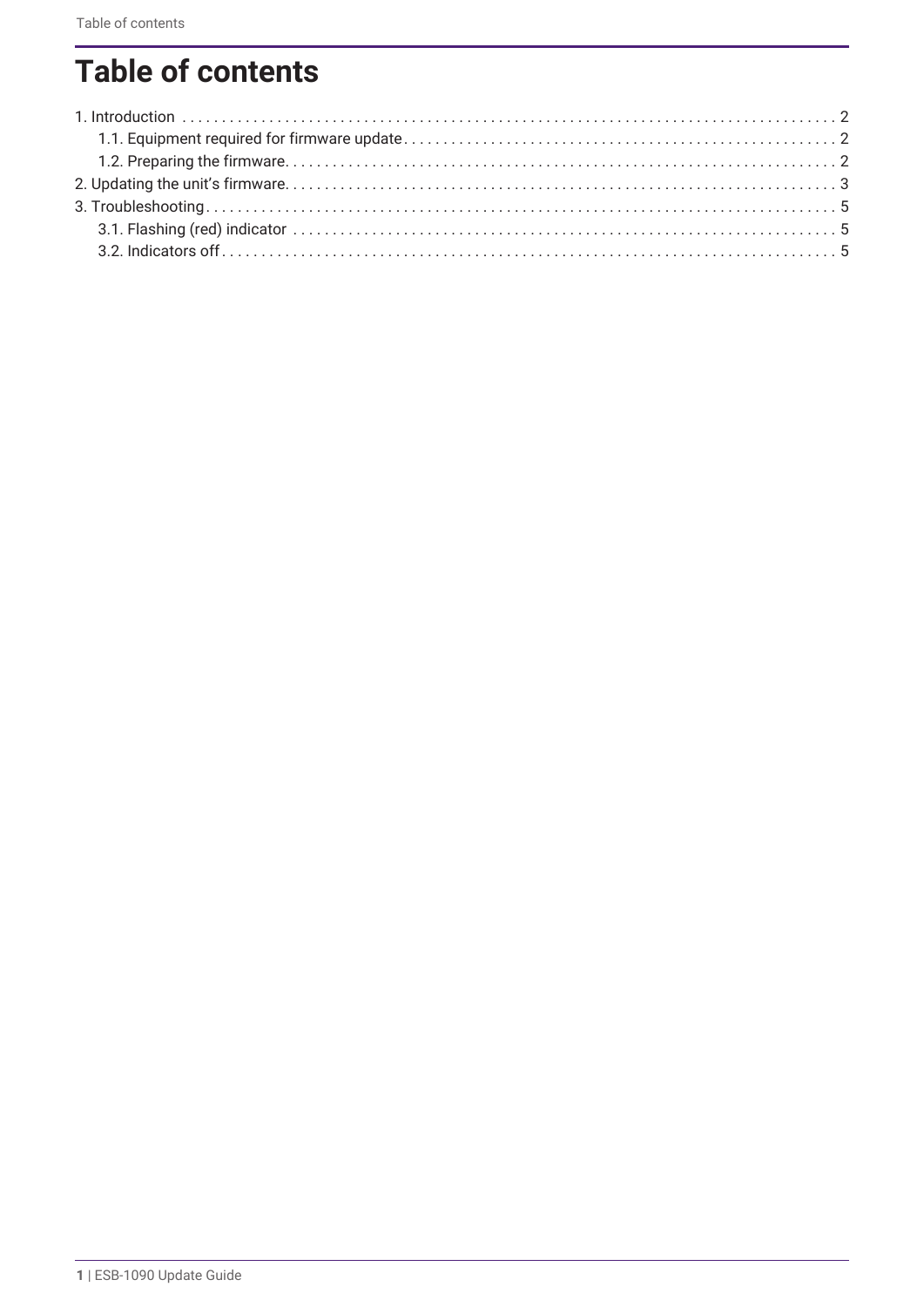# **Table of contents**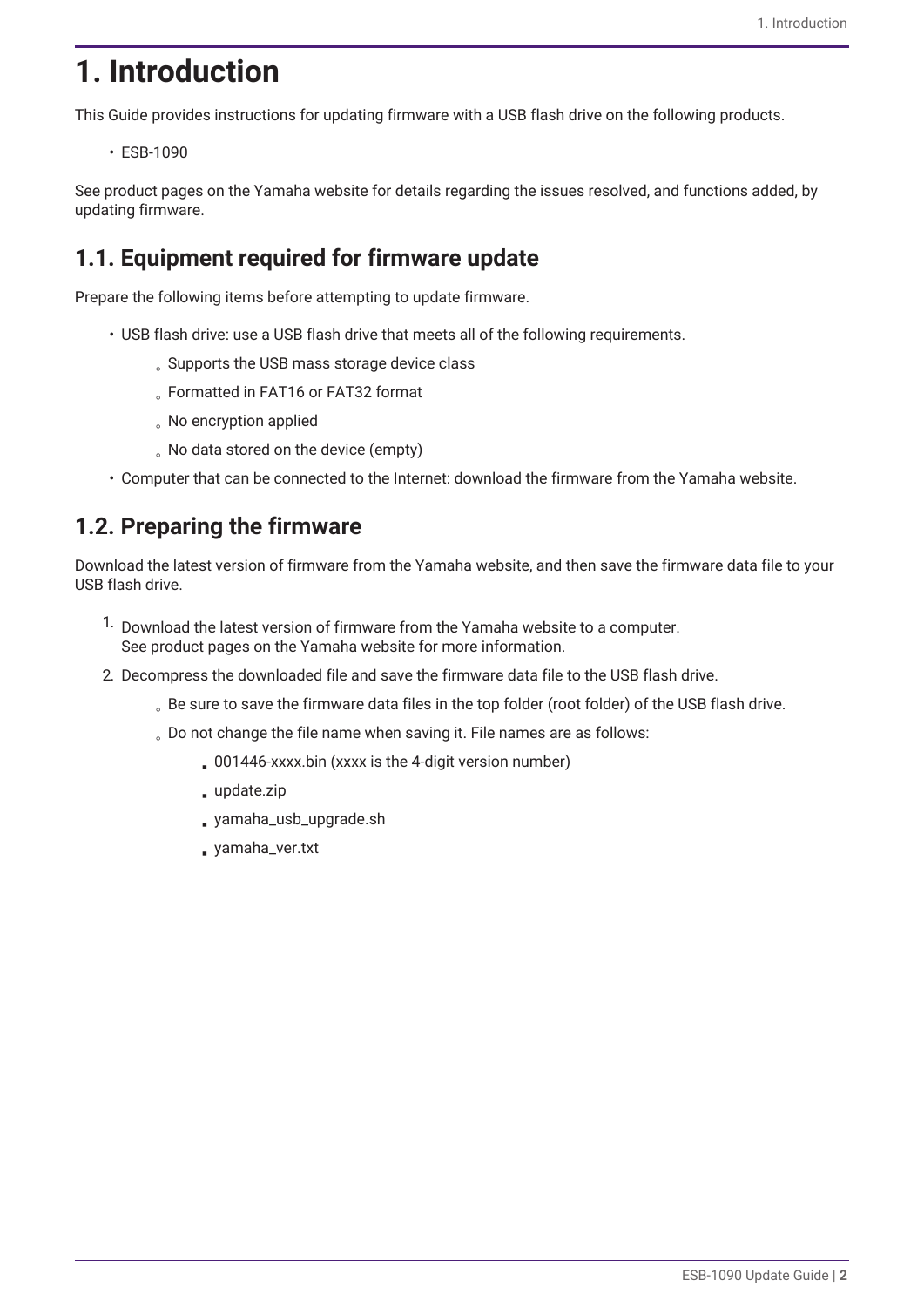## <span id="page-2-0"></span>**1. Introduction**

This Guide provides instructions for updating firmware with a USB flash drive on the following products.

• ESB-1090

See product pages on the Yamaha website for details regarding the issues resolved, and functions added, by updating firmware.

## <span id="page-2-1"></span>**1.1. Equipment required for firmware update**

Prepare the following items before attempting to update firmware.

- USB flash drive: use a USB flash drive that meets all of the following requirements.
	- Supports the USB mass storage device class
	- Formatted in FAT16 or FAT32 format
	- No encryption applied
	- No data stored on the device (empty)
- Computer that can be connected to the Internet: download the firmware from the Yamaha website.

## <span id="page-2-2"></span>**1.2. Preparing the firmware**

Download the latest version of firmware from the Yamaha website, and then save the firmware data file to your USB flash drive.

- <sup>1.</sup> Download the latest version of firmware from the Yamaha website to a computer. See product pages on the Yamaha website for more information.
- 2. Decompress the downloaded file and save the firmware data file to the USB flash drive.
	- Be sure to save the firmware data files in the top folder (root folder) of the USB flash drive.
	- Do not change the file name when saving it. File names are as follows:
		- . 001446-xxxx.bin (xxxx is the 4-digit version number)
		- update.zip
		- yamaha\_usb\_upgrade.sh
		- yamaha\_ver.txt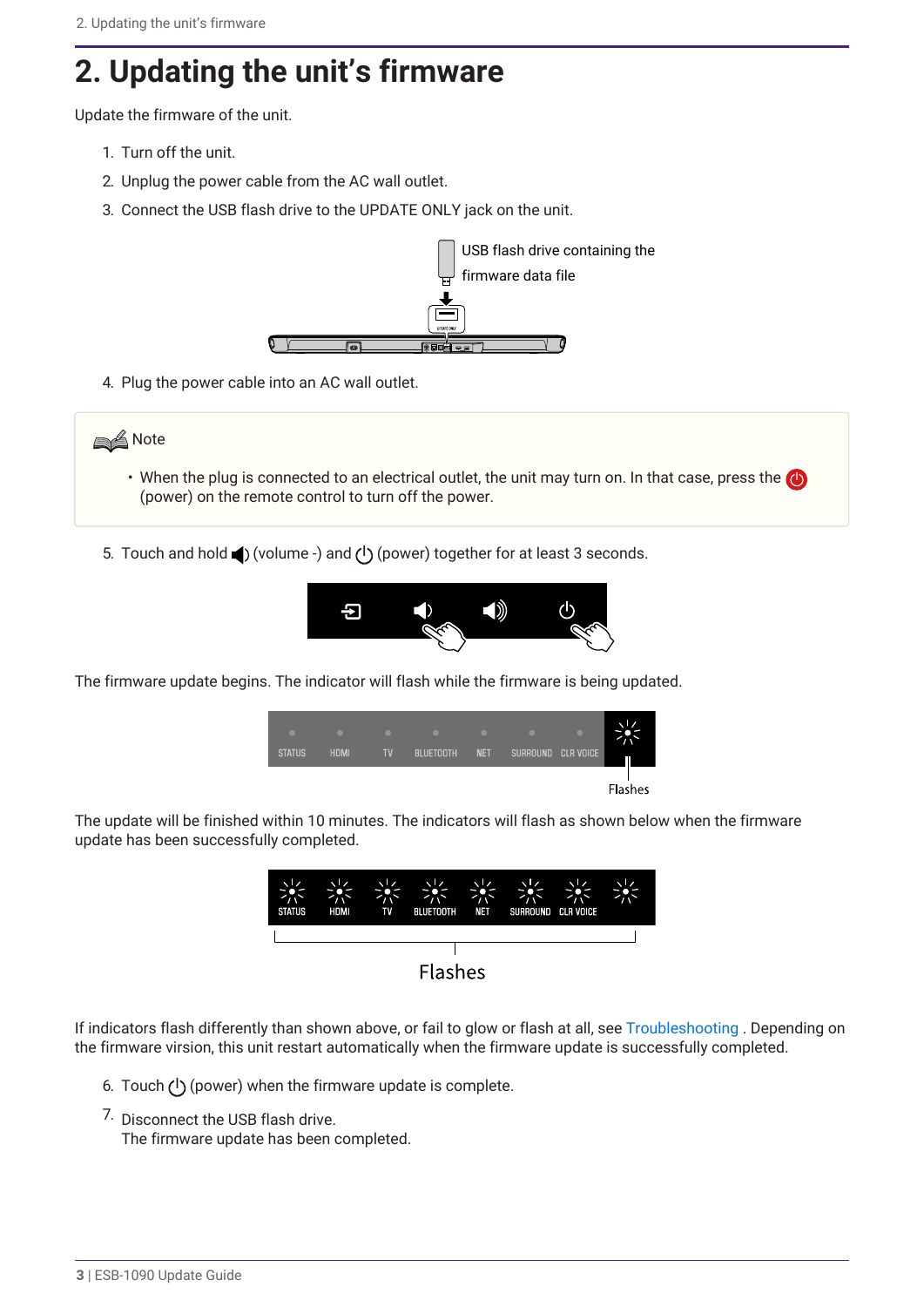# <span id="page-3-0"></span>**2. Updating the unit's firmware**

Update the firmware of the unit.

- 1. Turn off the unit.
- 2. Unplug the power cable from the AC wall outlet.
- 3. Connect the USB flash drive to the UPDATE ONLY jack on the unit.



4. Plug the power cable into an AC wall outlet.



- When the plug is connected to an electrical outlet, the unit may turn on. In that case, press the (power) on the remote control to turn off the power.
- 5. Touch and hold  $\blacktriangleleft$  (volume -) and (<sup>l</sup>) (power) together for at least 3 seconds.



The firmware update begins. The indicator will flash while the firmware is being updated.

| <b>STATUS</b> | <b>HDMI</b> | <b>TV</b> | .<br><b>BLUETOOTH</b> | <b>NET</b> | SURROUND CLR VOICE |                |
|---------------|-------------|-----------|-----------------------|------------|--------------------|----------------|
|               |             |           |                       |            |                    | <b>Flashes</b> |

The update will be finished within 10 minutes. The indicators will flash as shown below when the firmware update has been successfully completed.



If indicators flash differently than shown above, or fail to glow or flash at all, see [Troubleshooting](#page-5-0) . Depending on the firmware virsion, this unit restart automatically when the firmware update is successfully completed.

- 6. Touch  $(1)$  (power) when the firmware update is complete.
- 7. Disconnect the USB flash drive. The firmware update has been completed.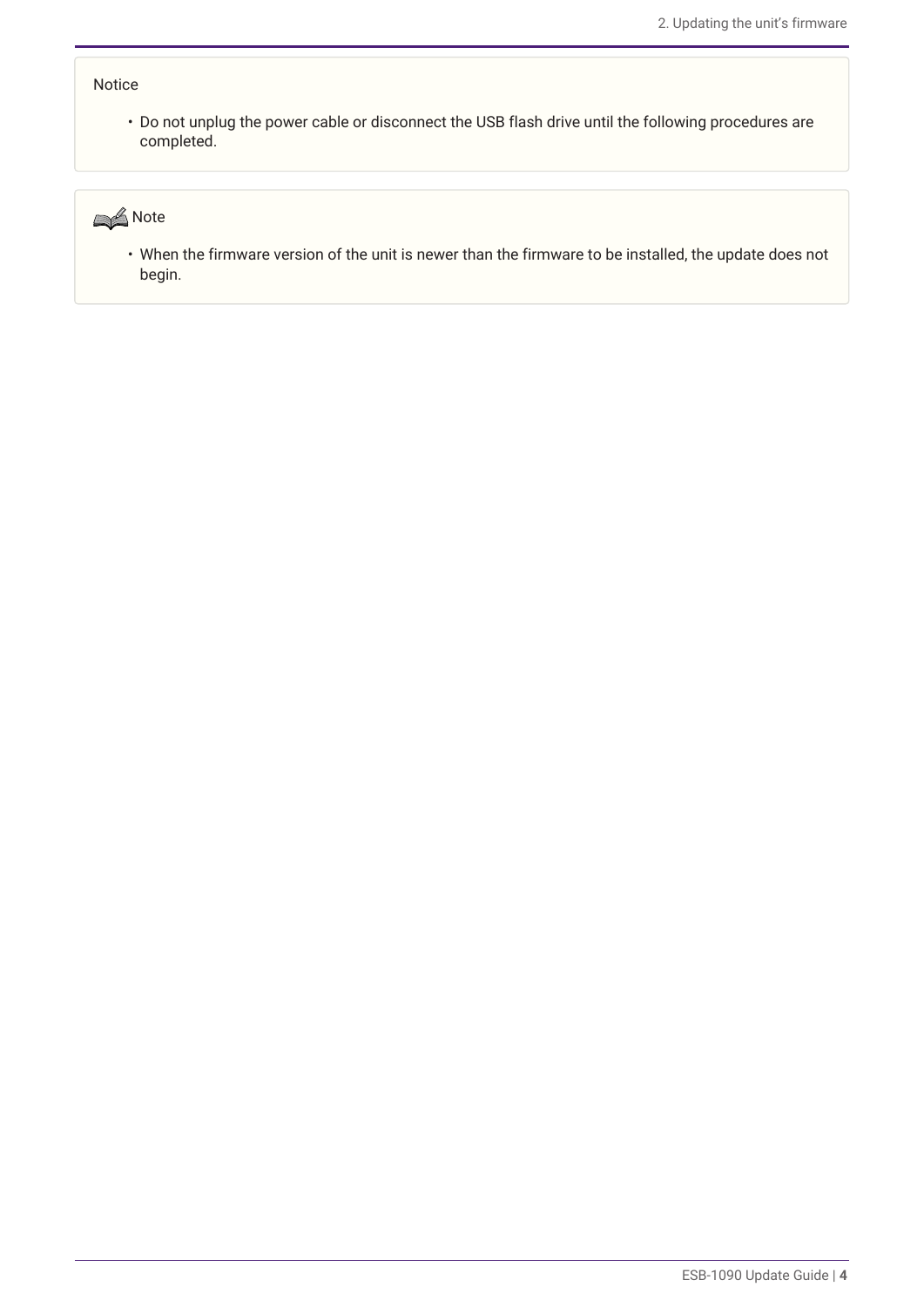#### Notice

• Do not unplug the power cable or disconnect the USB flash drive until the following procedures are completed.



• When the firmware version of the unit is newer than the firmware to be installed, the update does not begin.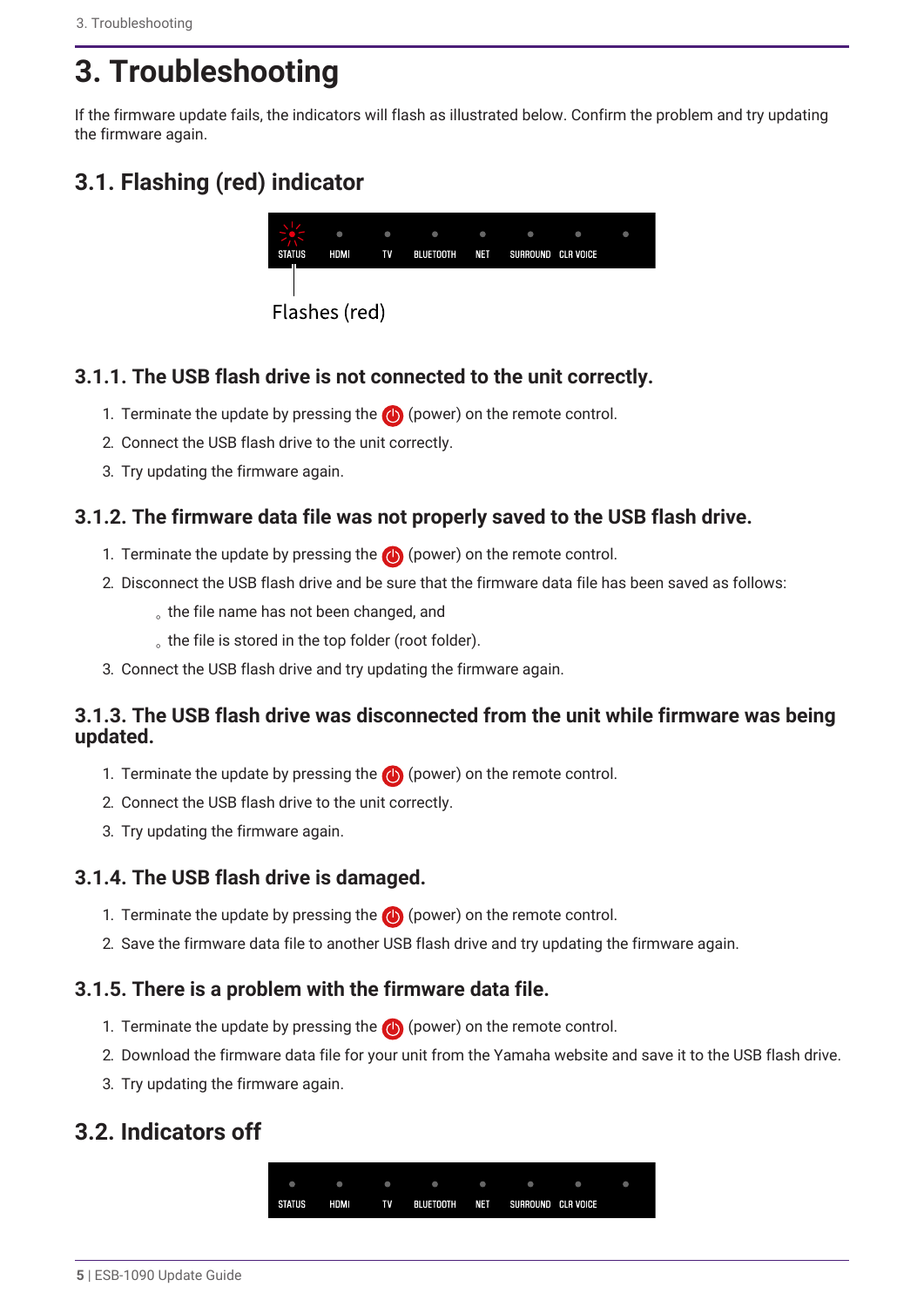# <span id="page-5-0"></span>**3. Troubleshooting**

If the firmware update fails, the indicators will flash as illustrated below. Confirm the problem and try updating the firmware again.

## <span id="page-5-1"></span>**3.1. Flashing (red) indicator**



### **3.1.1. The USB flash drive is not connected to the unit correctly.**

- 1. Terminate the update by pressing the  $\bigcirc$  (power) on the remote control.
- 2. Connect the USB flash drive to the unit correctly.
- 3. Try updating the firmware again.

### **3.1.2. The firmware data file was not properly saved to the USB flash drive.**

- 1. Terminate the update by pressing the  $\bigcirc$  (power) on the remote control.
- 2. Disconnect the USB flash drive and be sure that the firmware data file has been saved as follows:
	- the file name has not been changed, and
	- the file is stored in the top folder (root folder).
- 3. Connect the USB flash drive and try updating the firmware again.

### **3.1.3. The USB flash drive was disconnected from the unit while firmware was being updated.**

- 1. Terminate the update by pressing the  $\bigcirc$  (power) on the remote control.
- 2. Connect the USB flash drive to the unit correctly.
- 3. Try updating the firmware again.

### **3.1.4. The USB flash drive is damaged.**

- 1. Terminate the update by pressing the  $\bigcirc$  (power) on the remote control.
- 2. Save the firmware data file to another USB flash drive and try updating the firmware again.

### **3.1.5. There is a problem with the firmware data file.**

- 1. Terminate the update by pressing the  $\bigoplus$  (power) on the remote control.
- 2. Download the firmware data file for your unit from the Yamaha website and save it to the USB flash drive.
- 3. Try updating the firmware again.

### <span id="page-5-2"></span>**3.2. Indicators off**

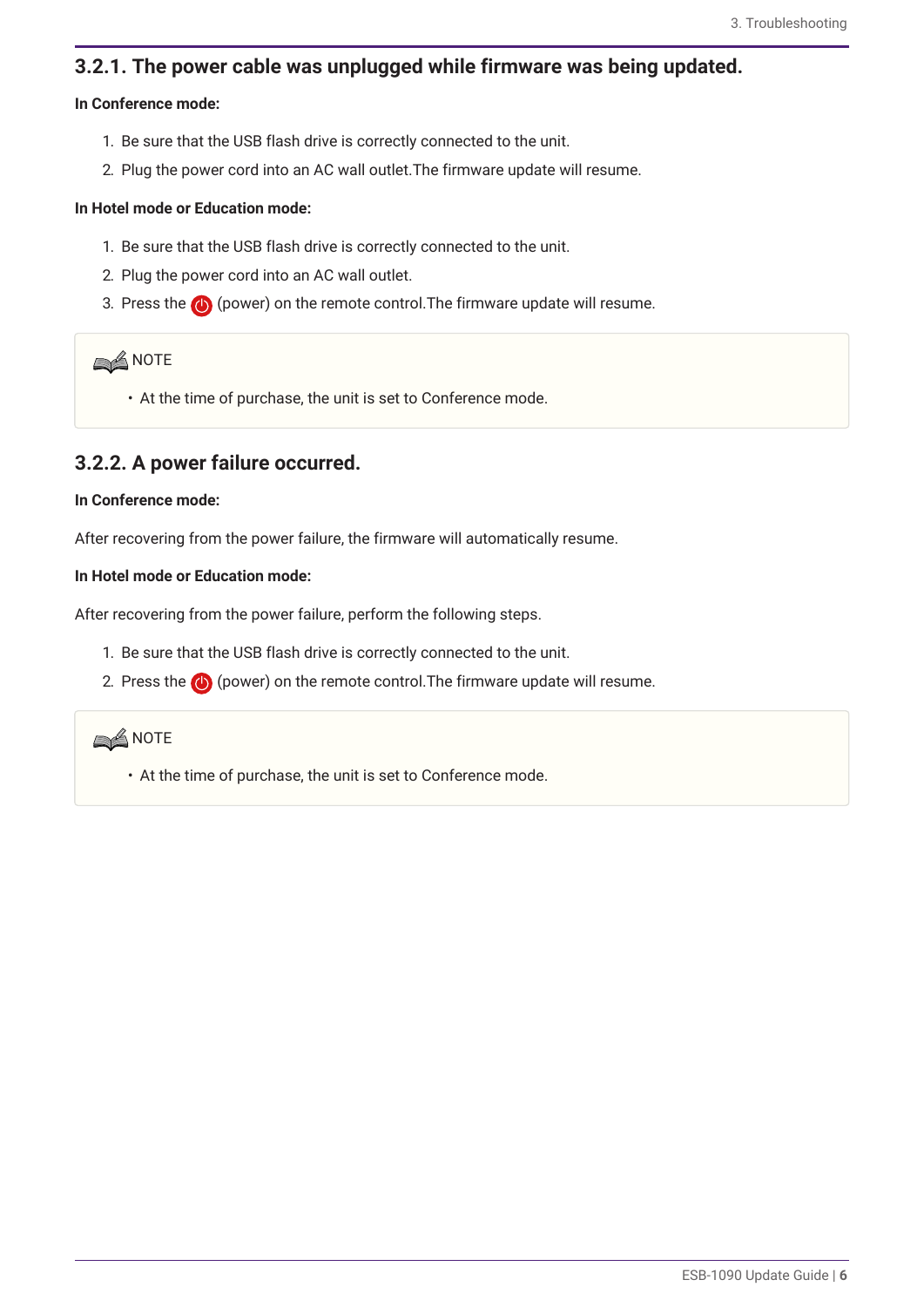#### **3.2.1. The power cable was unplugged while firmware was being updated.**

#### **In Conference mode:**

- 1. Be sure that the USB flash drive is correctly connected to the unit.
- 2. Plug the power cord into an AC wall outlet.The firmware update will resume.

#### **In Hotel mode or Education mode:**

- 1. Be sure that the USB flash drive is correctly connected to the unit.
- 2. Plug the power cord into an AC wall outlet.
- 3. Press the  $\bigcirc$  (power) on the remote control. The firmware update will resume.

#### **SA NOTE**

• At the time of purchase, the unit is set to Conference mode.

#### **3.2.2. A power failure occurred.**

#### **In Conference mode:**

After recovering from the power failure, the firmware will automatically resume.

#### **In Hotel mode or Education mode:**

After recovering from the power failure, perform the following steps.

- 1. Be sure that the USB flash drive is correctly connected to the unit.
- 2. Press the  $\bigcirc$  (power) on the remote control. The firmware update will resume.



• At the time of purchase, the unit is set to Conference mode.